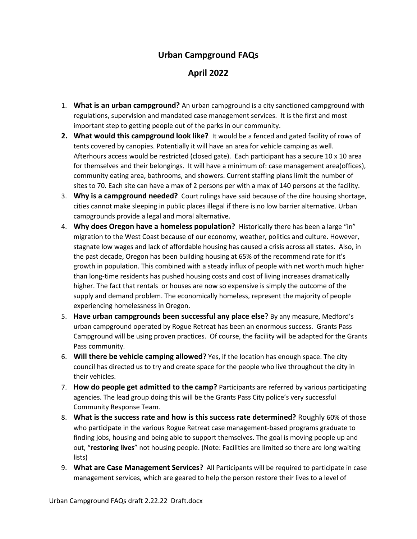## **Urban Campground FAQs**

## **April 2022**

- 1. **What is an urban campground?** An urban campground is a city sanctioned campground with regulations, supervision and mandated case management services. It is the first and most important step to getting people out of the parks in our community.
- **2. What would this campground look like?** It would be a fenced and gated facility of rows of tents covered by canopies. Potentially it will have an area for vehicle camping as well. Afterhours access would be restricted (closed gate). Each participant has a secure 10 x 10 area for themselves and their belongings. It will have a minimum of: case management area(offices), community eating area, bathrooms, and showers. Current staffing plans limit the number of sites to 70. Each site can have a max of 2 persons per with a max of 140 persons at the facility.
- 3. **Why is a campground needed?** Court rulings have said because of the dire housing shortage, cities cannot make sleeping in public places illegal if there is no low barrier alternative. Urban campgrounds provide a legal and moral alternative.
- 4. **Why does Oregon have a homeless population?** Historically there has been a large "in" migration to the West Coast because of our economy, weather, politics and culture. However, stagnate low wages and lack of affordable housing has caused a crisis across all states. Also, in the past decade, Oregon has been building housing at 65% of the recommend rate for it's growth in population. This combined with a steady influx of people with net worth much higher than long-time residents has pushed housing costs and cost of living increases dramatically higher. The fact that rentals or houses are now so expensive is simply the outcome of the supply and demand problem. The economically homeless, represent the majority of people experiencing homelessness in Oregon.
- 5. **Have urban campgrounds been successful any place else**? By any measure, Medford's urban campground operated by Rogue Retreat has been an enormous success. Grants Pass Campground will be using proven practices. Of course, the facility will be adapted for the Grants Pass community.
- 6. **Will there be vehicle camping allowed?** Yes, if the location has enough space. The city council has directed us to try and create space for the people who live throughout the city in their vehicles.
- 7. **How do people get admitted to the camp?** Participants are referred by various participating agencies. The lead group doing this will be the Grants Pass City police's very successful Community Response Team.
- 8. **What is the success rate and how is this success rate determined?** Roughly 60% of those who participate in the various Rogue Retreat case management-based programs graduate to finding jobs, housing and being able to support themselves. The goal is moving people up and out, "**restoring lives**" not housing people. (Note: Facilities are limited so there are long waiting lists)
- 9. **What are Case Management Services?** All Participants will be required to participate in case management services, which are geared to help the person restore their lives to a level of